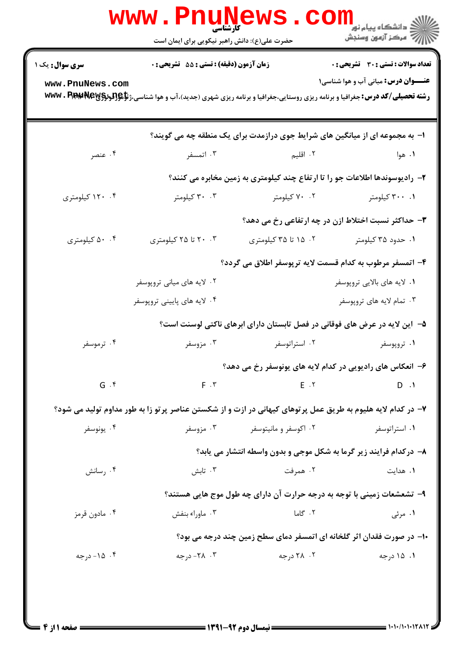|                                           | www . Pn<br><b>کارشناسی</b><br>حضرت علی(ع): دانش راهبر نیکویی برای ایمان است                                                                                                                                                                     |                       | الاد دانشگاه پیام نور<br>الاد مرکز آزمون وسنجش                                             |  |  |
|-------------------------------------------|--------------------------------------------------------------------------------------------------------------------------------------------------------------------------------------------------------------------------------------------------|-----------------------|--------------------------------------------------------------------------------------------|--|--|
| <b>سری سوال :</b> یک ۱<br>www.PnuNews.com | زمان آزمون (دقیقه) : تستی : 55 گشریحی : 0<br><b>رشته تحصیلی/کد درس:</b> جغرافیا و برنامه ریزی روستایی،جغرافیا و برنامه ریزی شهری (جدید)،آب و هوا شناسی،ژ <b>تإهِ{لودِلِوَلاَلْمَنْ www . Pip:y کد درس:</b> جغرافیا و برنامه ریزی روستایی،جغرافیا |                       | <b>تعداد سوالات : تستی : 30 ٪ تشریحی : 0</b><br><b>عنـــوان درس:</b> مبانی آب و هوا شناسی۱ |  |  |
|                                           |                                                                                                                                                                                                                                                  |                       | ا- به مجموعه ای از میانگین های شرایط جوی درازمدت برای یک منطقه چه می گویند؟                |  |  |
| ۰۴ عنصر                                   | ۰۳ اتمسفر                                                                                                                                                                                                                                        | ۲. اقلیم              | ۰۱ هوا                                                                                     |  |  |
|                                           |                                                                                                                                                                                                                                                  |                       | ۲- رادیوسوندها اطلاعات جو را تا ارتفاع چند کیلومتری به زمین مخابره می کنند؟                |  |  |
| ۱۲۰ .۴ کیلومتری                           | ۰.۳ کیلومتر                                                                                                                                                                                                                                      | ۰۲ کیلومتر            | ۰۱ ۳۰۰ کیلومتر                                                                             |  |  |
|                                           | ۳- حداکثر نسبت اختلاط ازن در چه ارتفاعی رخ می دهد؟                                                                                                                                                                                               |                       |                                                                                            |  |  |
| ۵۰ .۴ کیلومتری                            | ۰۳ ۲۰ تا ۲۵ کیلومتری                                                                                                                                                                                                                             | ۰۲ ۱۵ تا ۳۵ کیلومتری  | ۰۱ حدود ۳۵ کیلومتر                                                                         |  |  |
|                                           |                                                                                                                                                                                                                                                  |                       | ۴– اتمسفر مرطوب به کدام قسمت لایه ترپوسفر اطلاق می گردد؟                                   |  |  |
|                                           | ۰۲ لایه های میانی تروپوسفر                                                                                                                                                                                                                       |                       | ۰۱ لایه های بالایی تروپوسفر                                                                |  |  |
|                                           | ۰۴ لایه های پایینی تروپوسفر                                                                                                                                                                                                                      |                       | ۰۳ تمام لایه های تروپوسفر                                                                  |  |  |
|                                           |                                                                                                                                                                                                                                                  |                       | ۵– آین لایه در عرض های فوقانی در فصل تابستان دارای ابرهای ناکتی لوسنت است؟                 |  |  |
| ۰۴ ترموسفر                                | ۰۳ مزوسفر                                                                                                                                                                                                                                        | ۰۲ استراتوسفر         | ۰۱ تروپوسفر                                                                                |  |  |
|                                           |                                                                                                                                                                                                                                                  |                       | ۶- انعکاس های رادیویی در کدام لایه های یونوسفر رخ می دهد؟                                  |  |  |
| $G.$ $f$                                  | $F \cdot Y$                                                                                                                                                                                                                                      | $E \cdot Y$           | $D \cdot \mathcal{N}$                                                                      |  |  |
|                                           | ۷– در کدام لایه هلیوم به طریق عمل پرتوهای کیهانی در ازت و از شکستن عناصر پرتو زا به طور مداوم تولید می شود؟                                                                                                                                      |                       |                                                                                            |  |  |
| ۰۴ يونوسفر                                | ۰۳ مزوسفر                                                                                                                                                                                                                                        | ۰۲ اکوسفر و مانیتوسفر | ۰۱ استراتوسفر                                                                              |  |  |
|                                           |                                                                                                                                                                                                                                                  |                       | ۸- درکدام فرایند زیر گرما به شکل موجی و بدون واسطه انتشار می یابد؟                         |  |  |
| ۰۴ رسانش                                  | ۰۳ تابش                                                                                                                                                                                                                                          | ۰۲ همرفت              | ۰۱ هدایت                                                                                   |  |  |
|                                           |                                                                                                                                                                                                                                                  |                       | ۹- تشعشعات زمینی با توجه به درجه حرارت آن دارای چه طول موج هایی هستند؟                     |  |  |
| ۰۴ مادون قرمز                             | ۰۳ ماوراء بنفش                                                                                                                                                                                                                                   | ۲. گاما               | ۰۱ مرئی                                                                                    |  |  |
|                                           |                                                                                                                                                                                                                                                  |                       | ۱۰- در صورت فقدان اثر گلخانه ای اتمسفر دمای سطح زمین چند درجه می بود؟                      |  |  |
| ۰۴ ۱۵- درجه                               | ۰۳ ـ ۲۸- درجه                                                                                                                                                                                                                                    | ۰۲ درجه               | ۰۱ ۱۵ درجه                                                                                 |  |  |
|                                           |                                                                                                                                                                                                                                                  |                       |                                                                                            |  |  |
|                                           |                                                                                                                                                                                                                                                  |                       |                                                                                            |  |  |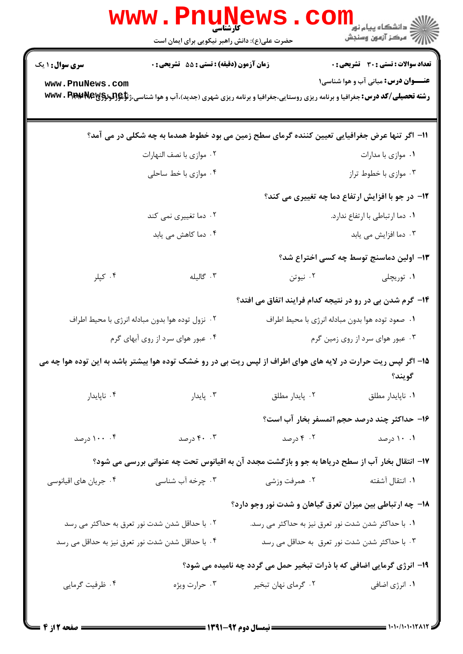|                                                                                                   | www.rnunet<br>حضرت علی(ع): دانش راهبر نیکویی برای ایمان است                                                                                         |                                                     | ر دانشگاه پيام نور <mark>− −</mark><br>ا∛ مرکز آزمون وسنجش |  |  |  |
|---------------------------------------------------------------------------------------------------|-----------------------------------------------------------------------------------------------------------------------------------------------------|-----------------------------------------------------|------------------------------------------------------------|--|--|--|
| <b>سری سوال : ۱ یک</b>                                                                            | <b>زمان آزمون (دقیقه) : تستی : 55 تشریحی : 0</b>                                                                                                    |                                                     | تعداد سوالات : تستي : 30 ٪ تشريحي : 0                      |  |  |  |
| www.PnuNews.com                                                                                   | <b>رشته تحصیلی/کد درس:</b> جغرافیا و برنامه ریزی روستایی،جغرافیا و برنامه ریزی شهری (جدید)،آب و هوا شناسی،ژ <b>تإچ[تردرآلآلآل WWW . P.P.194V EX</b> |                                                     | <b>عنـــوان درس:</b> مبانی آب و هوا شناسی۱                 |  |  |  |
| 11– اگر تنها عرض جغرافیایی تعیین کننده گرمای سطح زمین می بود خطوط همدما به چه شکلی در می آمد؟     |                                                                                                                                                     |                                                     |                                                            |  |  |  |
|                                                                                                   | ۰۲ موازی با نصف النهارات                                                                                                                            | ۰۱ موازی با مدارات                                  |                                                            |  |  |  |
|                                                                                                   | ۰۴ موازی با خط ساحلی                                                                                                                                | ۰۳ موازی با خطوط تراز                               |                                                            |  |  |  |
|                                                                                                   |                                                                                                                                                     |                                                     | <b>۱۲</b> - در جو با افزایش ارتفاع دما چه تغییری می کند؟   |  |  |  |
| ۰۲ دما تغییری نمی کند                                                                             |                                                                                                                                                     | ۰۱ دما ارتباطی با ارتفاع ندارد.                     |                                                            |  |  |  |
| ۰۴ دما کاهش می یابد                                                                               |                                                                                                                                                     | ۰۳ دما افزایش می یابد                               |                                                            |  |  |  |
|                                                                                                   |                                                                                                                                                     |                                                     | ۱۳- اولین دماسنج توسط چه کسی اختراع شد؟                    |  |  |  |
| ۰۴ کپلر                                                                                           | ۰۳ گالیله                                                                                                                                           | ۰۲ نیوتن                                            | ۰۱ توریچلی                                                 |  |  |  |
|                                                                                                   |                                                                                                                                                     |                                                     | ۱۴- گرم شدن بی در رو در نتیجه کدام فرایند اتفاق می افتد؟   |  |  |  |
| ۰۲ نزول توده هوا بدون مبادله انرژی با محیط اطراف                                                  |                                                                                                                                                     | ٠١ صعود توده هوا بدون مبادله انرژى با محيط اطراف    |                                                            |  |  |  |
| ۰۴ عبور هوای سرد از روی آبهای گرم                                                                 |                                                                                                                                                     | ۰۳ عبور هوای سرد از روی زمین گرم                    |                                                            |  |  |  |
|                                                                                                   | ۱۵– اگر لپس ریت حرارت در لایه های هوای اطراف از لپس ریت بی در رو خشک توده هوا بیشتر باشد به این توده هوا چه می                                      |                                                     | گويند؟                                                     |  |  |  |
| ۰۴ ناپايدار                                                                                       | ۰۳ پایدار                                                                                                                                           | ۰۲ پایدار مطلق                                      | ٠١ ناپايدار مطلق                                           |  |  |  |
|                                                                                                   |                                                                                                                                                     |                                                     | ۱۶– حداکثر چند درصد حجم اتمسفر بخار آب است؟                |  |  |  |
| ۰۰ ۱۰۰ درصد                                                                                       | ۴۰ . ۴۰ درصد                                                                                                                                        |                                                     | ۰۱ درصد - ۲۰ درصد - ۴۰ درصد                                |  |  |  |
| ۱۷– انتقال بخار آب از سطح دریاها به جو و بازگشت مجدد آن به اقیانوس تحت چه عنوانی بررسی می شود؟    |                                                                                                                                                     |                                                     |                                                            |  |  |  |
| ۰۴ جریان های اقیانوسی                                                                             | ۰۳ چرخه آب شناسی                                                                                                                                    | ۲. همرفت وزشی                                       | ۰۱ انتقال آشفته                                            |  |  |  |
|                                                                                                   |                                                                                                                                                     |                                                     | ۱۸- چه ارتباطی بین میزان تعرق گیاهان و شدت نور وجو دارد؟   |  |  |  |
| ۰۲ با حداقل شدن شدت نور تعرق به حداکثر می رسد                                                     |                                                                                                                                                     | ۰۱ با حداکثر شدن شدت نور تعرق نیز به حداکثر می رسد. |                                                            |  |  |  |
| ۰۴ با حداقل شدن شدت نور تعرق نیز به حداقل می رسد<br>۰۳ با حداکثر شدن شدت نور تعرق به حداقل می رسد |                                                                                                                                                     |                                                     |                                                            |  |  |  |
| ۱۹- انرژی گرمایی اضافی که با ذرات تبخیر حمل می گردد چه نامیده می شود؟                             |                                                                                                                                                     |                                                     |                                                            |  |  |  |
| ۰۴ ظرفیت گرمایی                                                                                   | ۰۳ حرارت ویژه                                                                                                                                       | ۰۲ گرمای نهان تبخیر                                 | ۰۱ انرژی اضافی                                             |  |  |  |
|                                                                                                   |                                                                                                                                                     |                                                     |                                                            |  |  |  |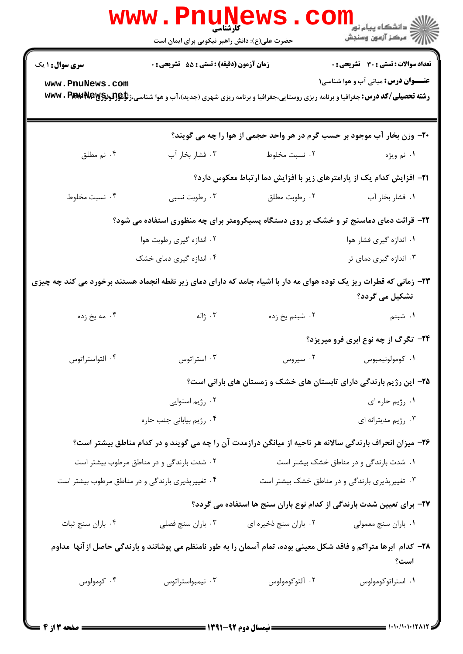|                                                                                                                                      | <b>WWW.Pnunews</b><br>حضرت علی(ع): دانش راهبر نیکویی برای ایمان است                                                                                    |                                                                               | ران دانشگاه پیام نور<br>اگر دانشگاه پیام نور<br>اگر |  |
|--------------------------------------------------------------------------------------------------------------------------------------|--------------------------------------------------------------------------------------------------------------------------------------------------------|-------------------------------------------------------------------------------|-----------------------------------------------------|--|
| <b>سری سوال : ۱ یک</b>                                                                                                               | <b>زمان آزمون (دقیقه) : تستی : 55 تشریحی : 0</b>                                                                                                       |                                                                               | <b>تعداد سوالات : تستی : 30 ٪ تشریحی : 0</b>        |  |
| www.PnuNews.com                                                                                                                      | <b>رشته تحصیلی/کد درس:</b> جغرافیا و برنامه ریزی روستایی،جغرافیا و برنامه ریزی شهری (جدید)،آب و هوا شناسی،ژ <b>تإهِ{لودِلِوَلاَپالات www . Pip:y }</b> |                                                                               | <b>عنـــوان درس:</b> مبانی آب و هوا شناسی۱          |  |
|                                                                                                                                      |                                                                                                                                                        | ۲۰- وزن بخار آب موجود بر حسب گرم در هر واحد حجمی از هوا را چه می گویند؟       |                                                     |  |
| ۰۴ نم مطلق                                                                                                                           | ۰۳ فشار بخار آب                                                                                                                                        | ۰۲ نسبت مخلوط                                                                 | ۱. نم ويژه                                          |  |
|                                                                                                                                      |                                                                                                                                                        | <b>۲۱</b> – افزایش کدام یک از پارامترهای زیر با افزایش دما ارتباط معکوس دارد؟ |                                                     |  |
| ۰۴ نسبت مخلوط                                                                                                                        | ۰۳ رطوبت نسبی                                                                                                                                          | ۰۲ رطوبت مطلق                                                                 | ٠١ فشار بخار آب                                     |  |
| ۲۲- قرائت دمای دماسنج تر و خشک بر روی دستگاه پسیکرومتر برای چه منظوری استفاده می شود؟                                                |                                                                                                                                                        |                                                                               |                                                     |  |
|                                                                                                                                      | ۰۲ اندازه گیری رطوبت هوا                                                                                                                               |                                                                               | ۰۱ اندازه گیری فشار هوا                             |  |
|                                                                                                                                      | ۰۴ اندازه گیری دمای خشک                                                                                                                                |                                                                               | ۰۳ اندازه گیری دمای تر                              |  |
| ۲۳- زمانی که قطرات ریز یک توده هوای مه دار با اشیاء جامد که دارای دمای زیر نقطه انجماد هستند برخورد می کند چه چیزی<br>تشکیل می گردد؟ |                                                                                                                                                        |                                                                               |                                                     |  |
| ۰۴ مه یخ زده                                                                                                                         | ۰۳ ژاله                                                                                                                                                | ۰۲ شبنم یخ زده                                                                | <b>۱.</b> شبنم                                      |  |
|                                                                                                                                      |                                                                                                                                                        |                                                                               | <b>۲۴</b> - تگرگ از چه نوع ابری فرو میریزد؟         |  |
| ۰۴ التواستراتوس                                                                                                                      | ۰۳ استراتوس                                                                                                                                            |                                                                               | ۰۱ کومولونیمبوس د ۲۰ سیروس .                        |  |
|                                                                                                                                      |                                                                                                                                                        | ۲۵– این رژیم بارندگی دارای تابستان های خشک و زمستان های بارانی است؟           |                                                     |  |
|                                                                                                                                      | ۰۲ رژیم استوایی                                                                                                                                        |                                                                               | ۰۱ رژیم حاره ای                                     |  |
|                                                                                                                                      | ۰۴ رژیم بیابانی جنب حاره                                                                                                                               |                                                                               | ۰۳ رژیم مدیترانه ای                                 |  |
|                                                                                                                                      | ۲۶- میزان انحراف بارندگی سالانه هر ناحیه از میانگن درازمدت آن را چه می گویند و در کدام مناطق بیشتر است؟                                                |                                                                               |                                                     |  |
| ۰۲ شدت بارندگی و در مناطق مرطوب بیشتر است                                                                                            |                                                                                                                                                        |                                                                               | ۰۱ شدت بارندگی و در مناطق خشک بیشتر است             |  |
|                                                                                                                                      | ۰۴ تغییرپذیری بارندگی و در مناطق مرطوب بیشتر است                                                                                                       |                                                                               | ۰۳ تغییرپذیری بارندگی و در مناطق خشک بیشتر است      |  |
|                                                                                                                                      |                                                                                                                                                        | ۲۷- برای تعیین شدت بارندگی از کدام نوع باران سنج ها استفاده می گردد؟          |                                                     |  |
| ۰۴ باران سنج ثبات                                                                                                                    | ۰۳ باران سنج فصلي                                                                                                                                      | ۰۲ باران سنج ذخيره اي                                                         | ٠١. باران سنج معمولي                                |  |
| ۲۸– کدام ابرها متراکم و فاقد شکل معینی بوده، تمام آسمان را به طور نامنظم می پوشانند و بارندگی حاصل ازآنها ًمداوم<br>است؟             |                                                                                                                                                        |                                                                               |                                                     |  |
| ۰۴ کومولوس                                                                                                                           | ۰۳ نیمبواستراتوس                                                                                                                                       | ۰۲ آلتوکومولوس                                                                | ٠١. استراتوكومولوس                                  |  |
|                                                                                                                                      |                                                                                                                                                        |                                                                               |                                                     |  |